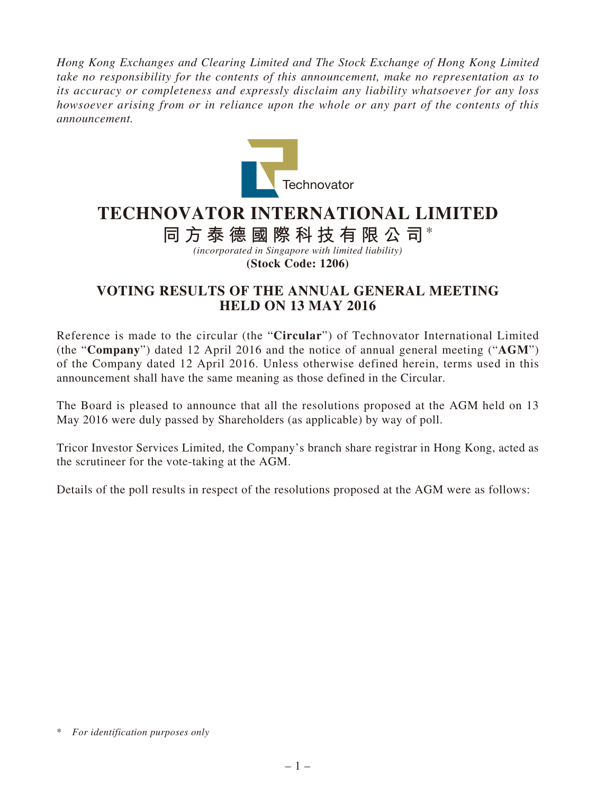*Hong Kong Exchanges and Clearing Limited and The Stock Exchange of Hong Kong Limited take no responsibility for the contents of this announcement, make no representation as to its accuracy or completeness and expressly disclaim any liability whatsoever for any loss howsoever arising from or in reliance upon the whole or any part of the contents of this announcement.*



## **TECHNOVATOR INTERNATIONAL LIMITED**

## **同方泰德國際科技有限公司**\*

*(incorporated in Singapore with limited liability)* **(Stock Code: 1206)**

## **VOTING RESULTS OF THE ANNUAL GENERAL MEETING HELD ON 13 MAY 2016**

Reference is made to the circular (the "**Circular**") of Technovator International Limited (the "**Company**") dated 12 April 2016 and the notice of annual general meeting ("**AGM**") of the Company dated 12 April 2016. Unless otherwise defined herein, terms used in this announcement shall have the same meaning as those defined in the Circular.

The Board is pleased to announce that all the resolutions proposed at the AGM held on 13 May 2016 were duly passed by Shareholders (as applicable) by way of poll.

Tricor Investor Services Limited, the Company's branch share registrar in Hong Kong, acted as the scrutineer for the vote-taking at the AGM.

Details of the poll results in respect of the resolutions proposed at the AGM were as follows:

<sup>\*</sup> *For identification purposes only*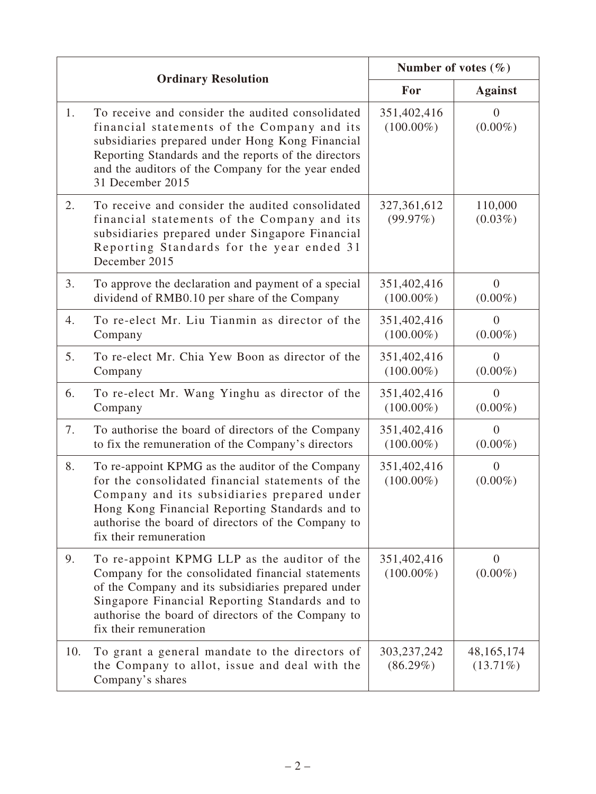|     | <b>Ordinary Resolution</b>                                                                                                                                                                                                                                                                | Number of votes $(\% )$      |                              |
|-----|-------------------------------------------------------------------------------------------------------------------------------------------------------------------------------------------------------------------------------------------------------------------------------------------|------------------------------|------------------------------|
|     |                                                                                                                                                                                                                                                                                           | For                          | <b>Against</b>               |
| 1.  | To receive and consider the audited consolidated<br>financial statements of the Company and its<br>subsidiaries prepared under Hong Kong Financial<br>Reporting Standards and the reports of the directors<br>and the auditors of the Company for the year ended<br>31 December 2015      | 351,402,416<br>$(100.00\%)$  | $\theta$<br>$(0.00\%)$       |
| 2.  | To receive and consider the audited consolidated<br>financial statements of the Company and its<br>subsidiaries prepared under Singapore Financial<br>Reporting Standards for the year ended 31<br>December 2015                                                                          | 327, 361, 612<br>(99.97%)    | 110,000<br>$(0.03\%)$        |
| 3.  | To approve the declaration and payment of a special<br>dividend of RMB0.10 per share of the Company                                                                                                                                                                                       | 351,402,416<br>$(100.00\%)$  | $\overline{0}$<br>$(0.00\%)$ |
| 4.  | To re-elect Mr. Liu Tianmin as director of the<br>Company                                                                                                                                                                                                                                 | 351,402,416<br>$(100.00\%)$  | $\Omega$<br>$(0.00\%)$       |
| 5.  | To re-elect Mr. Chia Yew Boon as director of the<br>Company                                                                                                                                                                                                                               | 351,402,416<br>$(100.00\%)$  | $\Omega$<br>$(0.00\%)$       |
| 6.  | To re-elect Mr. Wang Yinghu as director of the<br>Company                                                                                                                                                                                                                                 | 351,402,416<br>$(100.00\%)$  | $\Omega$<br>$(0.00\%)$       |
| 7.  | To authorise the board of directors of the Company<br>to fix the remuneration of the Company's directors                                                                                                                                                                                  | 351,402,416<br>$(100.00\%)$  | $\Omega$<br>$(0.00\%)$       |
| 8.  | To re-appoint KPMG as the auditor of the Company<br>for the consolidated financial statements of the<br>Company and its subsidiaries prepared under<br>Hong Kong Financial Reporting Standards and to<br>authorise the board of directors of the Company to<br>fix their remuneration     | 351,402,416<br>$(100.00\%)$  | $\overline{0}$<br>$(0.00\%)$ |
| 9.  | To re-appoint KPMG LLP as the auditor of the<br>Company for the consolidated financial statements<br>of the Company and its subsidiaries prepared under<br>Singapore Financial Reporting Standards and to<br>authorise the board of directors of the Company to<br>fix their remuneration | 351,402,416<br>$(100.00\%)$  | $\overline{0}$<br>$(0.00\%)$ |
| 10. | To grant a general mandate to the directors of<br>the Company to allot, issue and deal with the<br>Company's shares                                                                                                                                                                       | 303, 237, 242<br>$(86.29\%)$ | 48, 165, 174<br>$(13.71\%)$  |